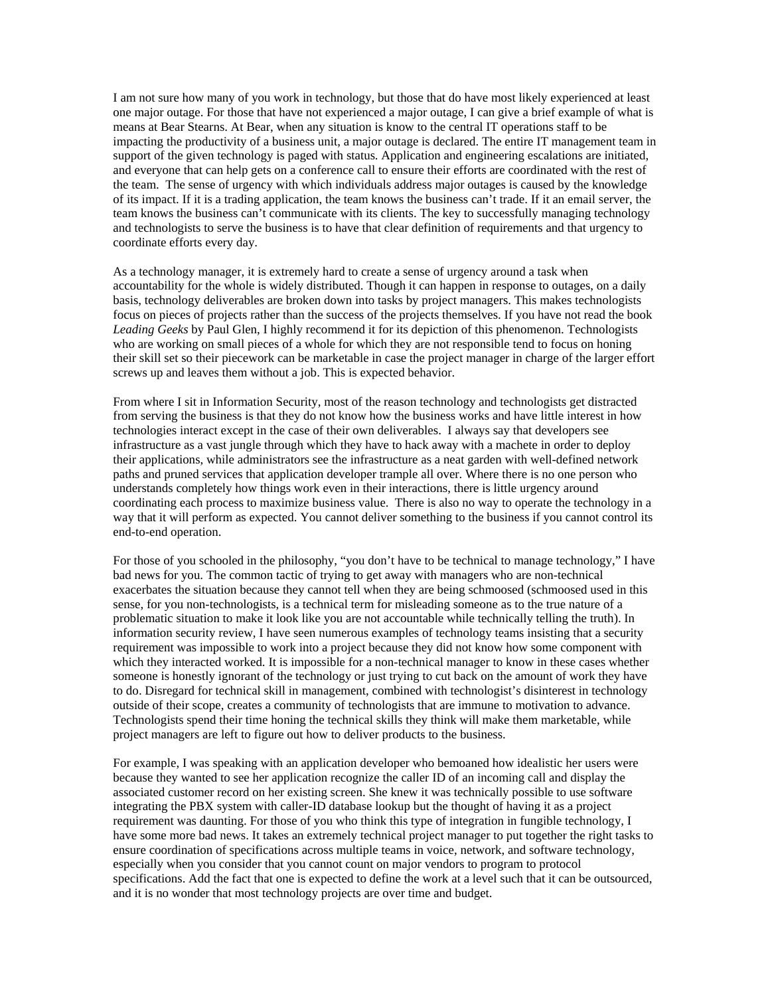I am not sure how many of you work in technology, but those that do have most likely experienced at least one major outage. For those that have not experienced a major outage, I can give a brief example of what is means at Bear Stearns. At Bear, when any situation is know to the central IT operations staff to be impacting the productivity of a business unit, a major outage is declared. The entire IT management team in support of the given technology is paged with status. Application and engineering escalations are initiated, and everyone that can help gets on a conference call to ensure their efforts are coordinated with the rest of the team. The sense of urgency with which individuals address major outages is caused by the knowledge of its impact. If it is a trading application, the team knows the business can't trade. If it an email server, the team knows the business can't communicate with its clients. The key to successfully managing technology and technologists to serve the business is to have that clear definition of requirements and that urgency to coordinate efforts every day.

As a technology manager, it is extremely hard to create a sense of urgency around a task when accountability for the whole is widely distributed. Though it can happen in response to outages, on a daily basis, technology deliverables are broken down into tasks by project managers. This makes technologists focus on pieces of projects rather than the success of the projects themselves. If you have not read the book *Leading Geeks* by Paul Glen, I highly recommend it for its depiction of this phenomenon. Technologists who are working on small pieces of a whole for which they are not responsible tend to focus on honing their skill set so their piecework can be marketable in case the project manager in charge of the larger effort screws up and leaves them without a job. This is expected behavior.

From where I sit in Information Security, most of the reason technology and technologists get distracted from serving the business is that they do not know how the business works and have little interest in how technologies interact except in the case of their own deliverables. I always say that developers see infrastructure as a vast jungle through which they have to hack away with a machete in order to deploy their applications, while administrators see the infrastructure as a neat garden with well-defined network paths and pruned services that application developer trample all over. Where there is no one person who understands completely how things work even in their interactions, there is little urgency around coordinating each process to maximize business value. There is also no way to operate the technology in a way that it will perform as expected. You cannot deliver something to the business if you cannot control its end-to-end operation.

For those of you schooled in the philosophy, "you don't have to be technical to manage technology," I have bad news for you. The common tactic of trying to get away with managers who are non-technical exacerbates the situation because they cannot tell when they are being schmoosed (schmoosed used in this sense, for you non-technologists, is a technical term for misleading someone as to the true nature of a problematic situation to make it look like you are not accountable while technically telling the truth). In information security review, I have seen numerous examples of technology teams insisting that a security requirement was impossible to work into a project because they did not know how some component with which they interacted worked. It is impossible for a non-technical manager to know in these cases whether someone is honestly ignorant of the technology or just trying to cut back on the amount of work they have to do. Disregard for technical skill in management, combined with technologist's disinterest in technology outside of their scope, creates a community of technologists that are immune to motivation to advance. Technologists spend their time honing the technical skills they think will make them marketable, while project managers are left to figure out how to deliver products to the business.

For example, I was speaking with an application developer who bemoaned how idealistic her users were because they wanted to see her application recognize the caller ID of an incoming call and display the associated customer record on her existing screen. She knew it was technically possible to use software integrating the PBX system with caller-ID database lookup but the thought of having it as a project requirement was daunting. For those of you who think this type of integration in fungible technology, I have some more bad news. It takes an extremely technical project manager to put together the right tasks to ensure coordination of specifications across multiple teams in voice, network, and software technology, especially when you consider that you cannot count on major vendors to program to protocol specifications. Add the fact that one is expected to define the work at a level such that it can be outsourced, and it is no wonder that most technology projects are over time and budget.